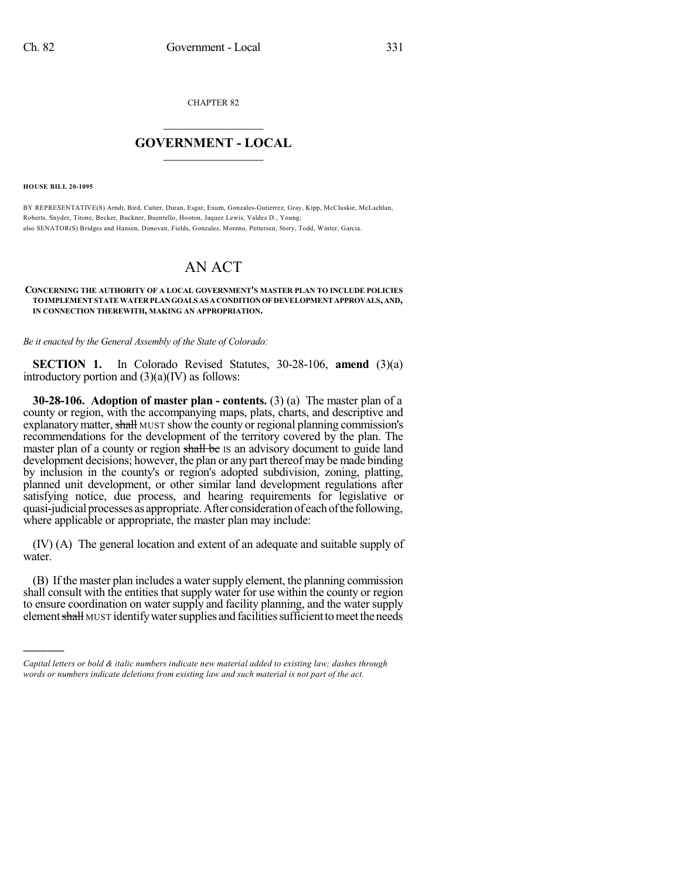CHAPTER 82

## $\overline{\phantom{a}}$  . The set of the set of the set of the set of the set of the set of the set of the set of the set of the set of the set of the set of the set of the set of the set of the set of the set of the set of the set o **GOVERNMENT - LOCAL**  $\_$

**HOUSE BILL 20-1095**

)))))

BY REPRESENTATIVE(S) Arndt, Bird, Cutter, Duran, Esgar, Exum, Gonzales-Gutierrez, Gray, Kipp, McCluskie, McLachlan, Roberts, Snyder, Titone, Becker, Buckner, Buentello, Hooton, Jaquez Lewis, Valdez D., Young; also SENATOR(S) Bridges and Hansen, Donovan, Fields, Gonzales, Moreno, Pettersen, Story, Todd, Winter, Garcia.

## AN ACT

## **CONCERNING THE AUTHORITY OF A LOCAL GOVERNMENT'S MASTER PLAN TO INCLUDE POLICIES TOIMPLEMENTSTATEWATERPLANGOALS AS ACONDITIONOFDEVELOPMENTAPPROVALS,AND, IN CONNECTION THEREWITH, MAKING AN APPROPRIATION.**

*Be it enacted by the General Assembly of the State of Colorado:*

**SECTION 1.** In Colorado Revised Statutes, 30-28-106, **amend** (3)(a) introductory portion and  $(3)(a)(IV)$  as follows:

**30-28-106. Adoption of master plan - contents.** (3) (a) The master plan of a county or region, with the accompanying maps, plats, charts, and descriptive and explanatory matter, shall MUST show the county or regional planning commission's recommendations for the development of the territory covered by the plan. The master plan of a county or region shall be IS an advisory document to guide land development decisions; however, the plan or any part thereof may be made binding by inclusion in the county's or region's adopted subdivision, zoning, platting, planned unit development, or other similar land development regulations after satisfying notice, due process, and hearing requirements for legislative or quasi-judicial processes as appropriate.After considerationof eachofthe following, where applicable or appropriate, the master plan may include:

(IV) (A) The general location and extent of an adequate and suitable supply of water.

(B) If the master plan includes a water supply element, the planning commission shall consult with the entities that supply water for use within the county or region to ensure coordination on water supply and facility planning, and the water supply element shall MUST identify water supplies and facilities sufficient to meet the needs

*Capital letters or bold & italic numbers indicate new material added to existing law; dashes through words or numbers indicate deletions from existing law and such material is not part of the act.*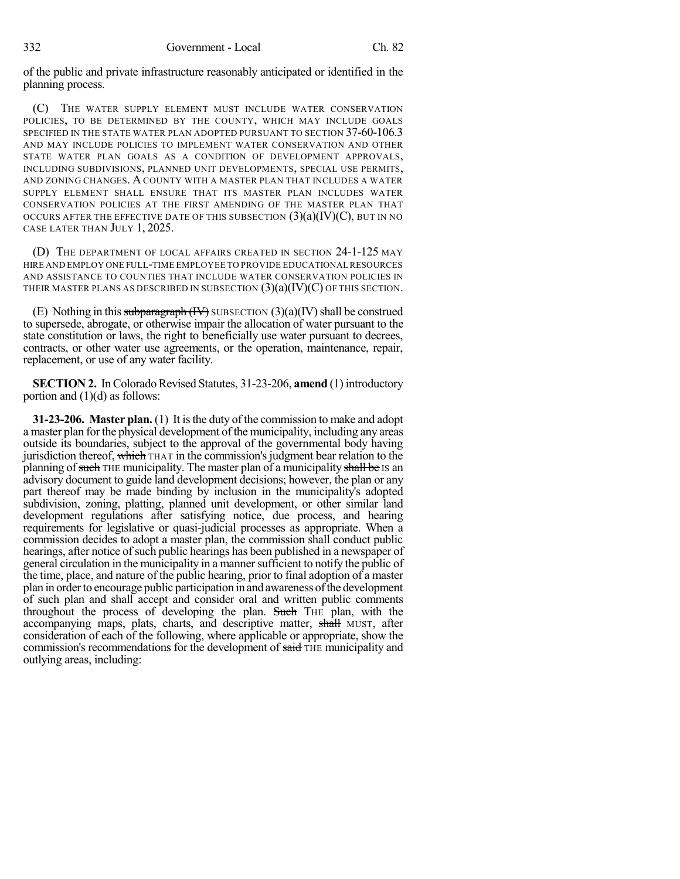of the public and private infrastructure reasonably anticipated or identified in the planning process.

(C) THE WATER SUPPLY ELEMENT MUST INCLUDE WATER CONSERVATION POLICIES, TO BE DETERMINED BY THE COUNTY, WHICH MAY INCLUDE GOALS SPECIFIED IN THE STATE WATER PLAN ADOPTED PURSUANT TO SECTION 37-60-106.3 AND MAY INCLUDE POLICIES TO IMPLEMENT WATER CONSERVATION AND OTHER STATE WATER PLAN GOALS AS A CONDITION OF DEVELOPMENT APPROVALS, INCLUDING SUBDIVISIONS, PLANNED UNIT DEVELOPMENTS, SPECIAL USE PERMITS, AND ZONING CHANGES. A COUNTY WITH A MASTER PLAN THAT INCLUDES A WATER SUPPLY ELEMENT SHALL ENSURE THAT ITS MASTER PLAN INCLUDES WATER CONSERVATION POLICIES AT THE FIRST AMENDING OF THE MASTER PLAN THAT OCCURS AFTER THE EFFECTIVE DATE OF THIS SUBSECTION  $(3)(a)(IV)(C)$ , but in no CASE LATER THAN JULY 1, 2025.

(D) THE DEPARTMENT OF LOCAL AFFAIRS CREATED IN SECTION 24-1-125 MAY HIRE AND EMPLOY ONE FULL-TIME EMPLOYEE TO PROVIDE EDUCATIONAL RESOURCES AND ASSISTANCE TO COUNTIES THAT INCLUDE WATER CONSERVATION POLICIES IN THEIR MASTER PLANS AS DESCRIBED IN SUBSECTION  $(3)(a)(IV)(C)$  OF THIS SECTION.

(E) Nothing in this subparagraph  $(W)$  SUBSECTION  $(3)(a)(IV)$  shall be construed to supersede, abrogate, or otherwise impair the allocation of water pursuant to the state constitution or laws, the right to beneficially use water pursuant to decrees, contracts, or other water use agreements, or the operation, maintenance, repair, replacement, or use of any water facility.

**SECTION 2.** In Colorado Revised Statutes, 31-23-206, **amend** (1) introductory portion and  $(1)(d)$  as follows:

**31-23-206. Master plan.** (1) It isthe duty of the commission to make and adopt a master plan for the physical development of the municipality, including any areas outside its boundaries, subject to the approval of the governmental body having jurisdiction thereof, which THAT in the commission's judgment bear relation to the planning of such THE municipality. The master plan of a municipality shall be IS an advisory document to guide land development decisions; however, the plan or any part thereof may be made binding by inclusion in the municipality's adopted subdivision, zoning, platting, planned unit development, or other similar land development regulations after satisfying notice, due process, and hearing requirements for legislative or quasi-judicial processes as appropriate. When a commission decides to adopt a master plan, the commission shall conduct public hearings, after notice of such public hearings has been published in a newspaper of general circulation in the municipality in a mannersufficient to notify the public of the time, place, and nature of the public hearing, prior to final adoption of a master plan in orderto encourage public participation in and awareness ofthe development of such plan and shall accept and consider oral and written public comments throughout the process of developing the plan. Such THE plan, with the accompanying maps, plats, charts, and descriptive matter, shall MUST, after consideration of each of the following, where applicable or appropriate, show the commission's recommendations for the development of said THE municipality and outlying areas, including: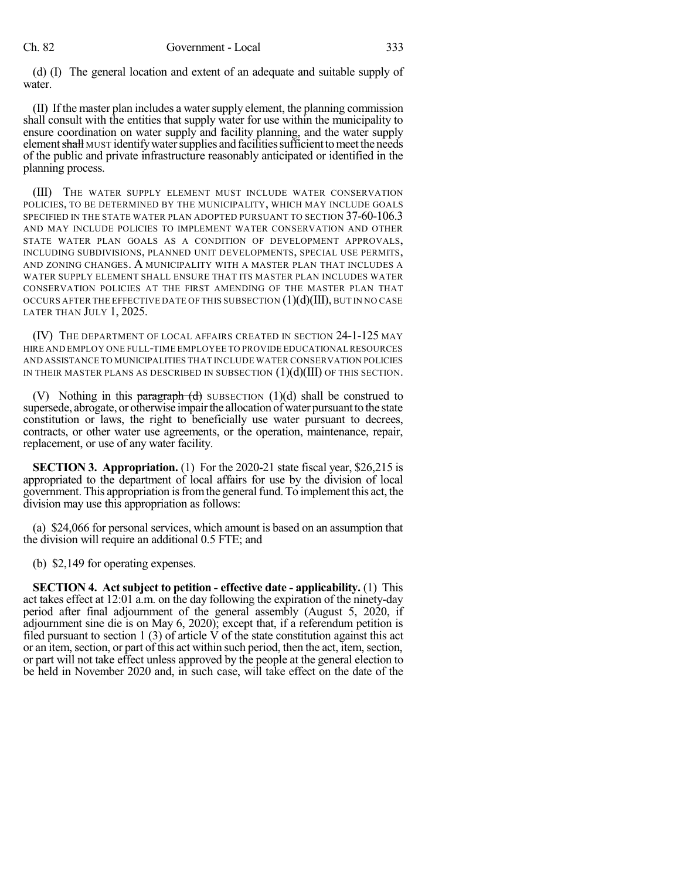(d) (I) The general location and extent of an adequate and suitable supply of water.

(II) If the master plan includes a watersupply element, the planning commission shall consult with the entities that supply water for use within the municipality to ensure coordination on water supply and facility planning, and the water supply element shall MUST identify water supplies and facilities sufficient to meet the needs of the public and private infrastructure reasonably anticipated or identified in the planning process.

(III) THE WATER SUPPLY ELEMENT MUST INCLUDE WATER CONSERVATION POLICIES, TO BE DETERMINED BY THE MUNICIPALITY, WHICH MAY INCLUDE GOALS SPECIFIED IN THE STATE WATER PLAN ADOPTED PURSUANT TO SECTION 37-60-106.3 AND MAY INCLUDE POLICIES TO IMPLEMENT WATER CONSERVATION AND OTHER STATE WATER PLAN GOALS AS A CONDITION OF DEVELOPMENT APPROVALS, INCLUDING SUBDIVISIONS, PLANNED UNIT DEVELOPMENTS, SPECIAL USE PERMITS, AND ZONING CHANGES. A MUNICIPALITY WITH A MASTER PLAN THAT INCLUDES A WATER SUPPLY ELEMENT SHALL ENSURE THAT ITS MASTER PLAN INCLUDES WATER CONSERVATION POLICIES AT THE FIRST AMENDING OF THE MASTER PLAN THAT OCCURS AFTER THE EFFECTIVE DATE OF THIS SUBSECTION  $(1)(d)(III)$ , BUT IN NO CASE LATER THAN JULY 1, 2025.

(IV) THE DEPARTMENT OF LOCAL AFFAIRS CREATED IN SECTION 24-1-125 MAY HIRE AND EMPLOY ONE FULL-TIME EMPLOYEE TO PROVIDE EDUCATIONAL RESOURCES AND ASSISTANCE TO MUNICIPALITIES THAT INCLUDE WATER CONSERVATION POLICIES IN THEIR MASTER PLANS AS DESCRIBED IN SUBSECTION  $(1)(d)(III)$  OF THIS SECTION.

(V) Nothing in this **paragraph** (d) SUBSECTION (1)(d) shall be construed to supersede, abrogate, or otherwise impair the allocation of water pursuant to the state constitution or laws, the right to beneficially use water pursuant to decrees, contracts, or other water use agreements, or the operation, maintenance, repair, replacement, or use of any water facility.

**SECTION 3. Appropriation.** (1) For the 2020-21 state fiscal year, \$26,215 is appropriated to the department of local affairs for use by the division of local government. This appropriation isfromthe generalfund. To implement this act, the division may use this appropriation as follows:

(a) \$24,066 for personal services, which amount is based on an assumption that the division will require an additional 0.5 FTE; and

(b) \$2,149 for operating expenses.

**SECTION 4. Act subject to petition - effective date - applicability.** (1) This act takes effect at 12:01 a.m. on the day following the expiration of the ninety-day period after final adjournment of the general assembly (August 5, 2020, if adjournment sine die is on May 6, 2020); except that, if a referendum petition is filed pursuant to section 1 (3) of article V of the state constitution against this act or an item, section, or part of this act within such period, then the act, item, section, or part will not take effect unless approved by the people at the general election to be held in November 2020 and, in such case, will take effect on the date of the